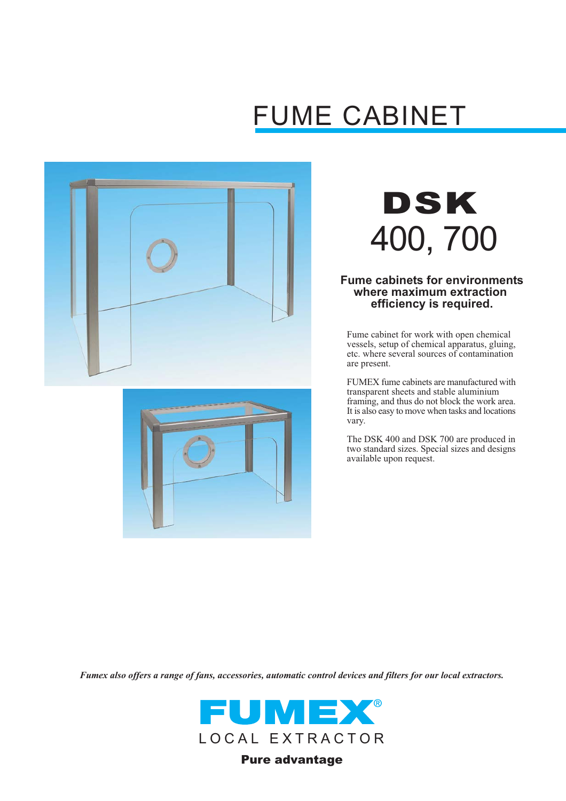# **FUME CABINET**





# DSK 400, 700

# **Fume cabinets for environments** where maximum extraction efficiency is required.

Fume cabinet for work with open chemical vessels, setup of chemical apparatus, gluing, etc. where several sources of contamination are present.

FUMEX fume cabinets are manufactured with transparent sheets and stable aluminium framing, and thus do not block the work area. It is also easy to move when tasks and locations vary.

The DSK 400 and DSK 700 are produced in two standard sizes. Special sizes and designs available upon request.

Fumex also offers a range of fans, accessories, automatic control devices and filters for our local extractors.